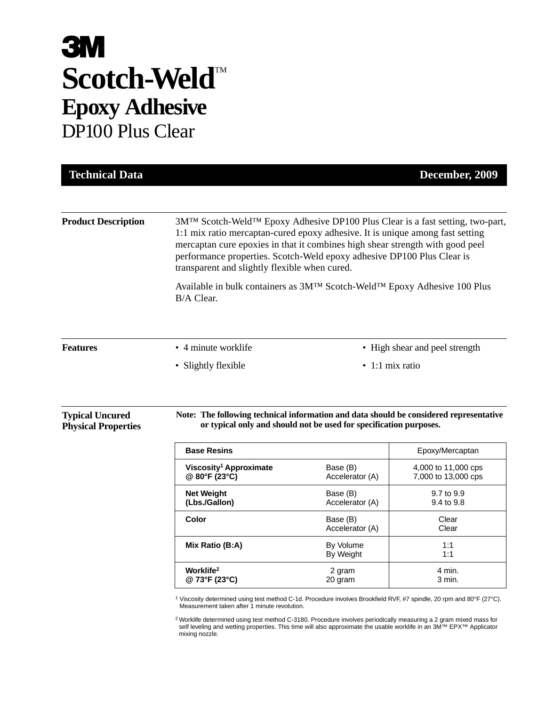# **3M** Scotch-Weld<sup>TM</sup> **Epoxy Adhesive** DP100 Plus Clear

| <b>Technical Data</b>                                |                                                                                                                                                                                                                                                                                                                                                                                                    |                             | December, 2009                             |
|------------------------------------------------------|----------------------------------------------------------------------------------------------------------------------------------------------------------------------------------------------------------------------------------------------------------------------------------------------------------------------------------------------------------------------------------------------------|-----------------------------|--------------------------------------------|
| <b>Product Description</b>                           | 3M <sup>™</sup> Scotch-Weld <sup>™</sup> Epoxy Adhesive DP100 Plus Clear is a fast setting, two-part,<br>1:1 mix ratio mercaptan-cured epoxy adhesive. It is unique among fast setting<br>mercaptan cure epoxies in that it combines high shear strength with good peel<br>performance properties. Scotch-Weld epoxy adhesive DP100 Plus Clear is<br>transparent and slightly flexible when cured. |                             |                                            |
|                                                      | Available in bulk containers as 3M™ Scotch-Weld™ Epoxy Adhesive 100 Plus<br>B/A Clear.                                                                                                                                                                                                                                                                                                             |                             |                                            |
| <b>Features</b>                                      | • 4 minute worklife                                                                                                                                                                                                                                                                                                                                                                                |                             | • High shear and peel strength             |
|                                                      | $\bullet$ 1:1 mix ratio<br>• Slightly flexible                                                                                                                                                                                                                                                                                                                                                     |                             |                                            |
| <b>Typical Uncured</b><br><b>Physical Properties</b> | Note: The following technical information and data should be considered representative<br>or typical only and should not be used for specification purposes.                                                                                                                                                                                                                                       |                             |                                            |
|                                                      | <b>Base Resins</b>                                                                                                                                                                                                                                                                                                                                                                                 |                             | Epoxy/Mercaptan                            |
|                                                      | Viscosity <sup>1</sup> Approximate<br>@ 80°F (23°C)                                                                                                                                                                                                                                                                                                                                                | Base (B)<br>Accelerator (A) | 4,000 to 11,000 cps<br>7,000 to 13,000 cps |
|                                                      | <b>Net Weight</b><br>(Lbs./Gallon)                                                                                                                                                                                                                                                                                                                                                                 | Base (B)<br>Accelerator (A) | 9.7 to 9.9<br>9.4 to 9.8                   |
|                                                      | Color                                                                                                                                                                                                                                                                                                                                                                                              | Base (B)<br>Accelerator (A) | Clear<br>Clear                             |
|                                                      | Mix Ratio (B:A)                                                                                                                                                                                                                                                                                                                                                                                    | By Volume<br>By Weight      | 1:1<br>1:1                                 |
|                                                      | Worklife <sup>2</sup><br>@ 73°F (23°C)                                                                                                                                                                                                                                                                                                                                                             | 2 gram<br>20 gram           | 4 min.<br>3 min.                           |

<sup>1</sup> Viscosity determined using test method C-1d. Procedure involves Brookfield RVF, #7 spindle, 20 rpm and 80°F (27°C). Measurement taken after 1 minute revolution.

<sup>2</sup> Worklife determined using test method C-3180. Procedure involves periodically measuring a 2 gram mixed mass for self leveling and wetting properties. This time will also approximate the usable worklife in an 3M™ EPX™ Applicator mixing nozzle.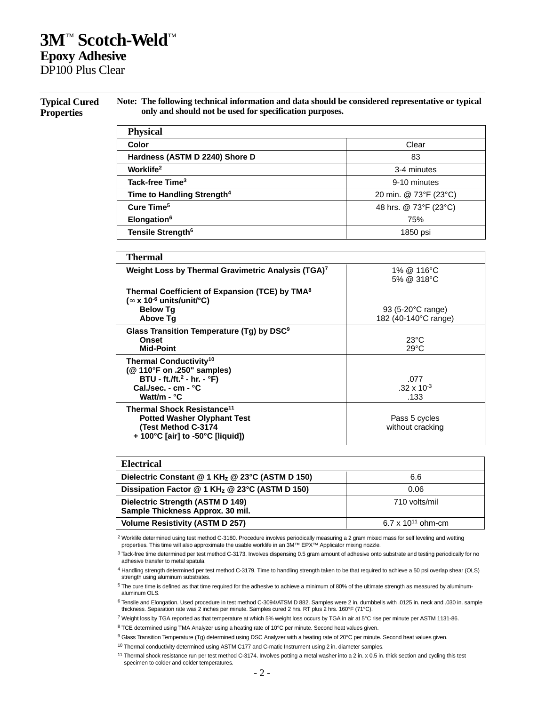# **3M**™ **Scotch-Weld**™ **Epoxy Adhesive**

DP100 Plus Clear

#### **Typical Cured Properties**

**Note: The following technical information and data should be considered representative or typical only and should not be used for specification purposes.**

| <b>Physical</b>                        |                       |
|----------------------------------------|-----------------------|
| Color                                  | Clear                 |
| Hardness (ASTM D 2240) Shore D         | 83                    |
| Worklife <sup>2</sup>                  | 3-4 minutes           |
| Tack-free Time <sup>3</sup>            | 9-10 minutes          |
| Time to Handling Strength <sup>4</sup> | 20 min. @ 73°F (23°C) |
| Cure Time <sup>5</sup>                 | 48 hrs. @ 73°F (23°C) |
| Elongation <sup>6</sup>                | 75%                   |
| Tensile Strength <sup>6</sup>          | 1850 psi              |

| Thermal                                                                                                                                            |                                                     |
|----------------------------------------------------------------------------------------------------------------------------------------------------|-----------------------------------------------------|
| Weight Loss by Thermal Gravimetric Analysis (TGA) <sup>7</sup>                                                                                     | 1% @ 116°C<br>5% @ 318°C                            |
| Thermal Coefficient of Expansion (TCE) by TMA <sup>8</sup><br>( $\infty$ x 10 <sup>-6</sup> units/unit/°C)<br><b>Below Tg</b><br><b>Above Tg</b>   | 93 (5-20 $\degree$ C range)<br>182 (40-140°C range) |
| Glass Transition Temperature (Tq) by DSC <sup>9</sup><br>Onset<br><b>Mid-Point</b>                                                                 | $23^{\circ}$ C<br>$29^{\circ}$ C                    |
| Thermal Conductivity <sup>10</sup><br>(@ 110°F on .250" samples)<br>$BTU - ft.ft.^2 - hr. - °F)$<br>Cal./sec. - $cm - °C$<br>Watt/m - $^{\circ}$ C | .077<br>$.32 \times 10^{-3}$<br>.133                |
| Thermal Shock Resistance <sup>11</sup><br><b>Potted Washer Olyphant Test</b><br>(Test Method C-3174<br>+ 100°C [air] to -50°C [liquid])            | Pass 5 cycles<br>without cracking                   |

| <b>Electrical</b>                                                    |                        |
|----------------------------------------------------------------------|------------------------|
| Dielectric Constant @ 1 KH <sub>z</sub> @ 23°C (ASTM D 150)          | 6.6                    |
| Dissipation Factor @ 1 KH <sub>z</sub> @ 23°C (ASTM D 150)           | 0.06                   |
| Dielectric Strength (ASTM D 149)<br>Sample Thickness Approx. 30 mil. | 710 volts/mil          |
| <b>Volume Resistivity (ASTM D 257)</b>                               | 6.7 x $10^{11}$ ohm-cm |

<sup>2</sup> Worklife determined using test method C-3180. Procedure involves periodically measuring a 2 gram mixed mass for self leveling and wetting<br>properties. This time will also approximate the usable worklife in an 3M™ EPX™

<sup>6</sup> Tensile and Elongation. Used procedure in test method C-3094/ATSM D 882. Samples were 2 in. dumbbells with .0125 in. neck and .030 in. sample thickness. Separation rate was 2 inches per minute. Samples cured 2 hrs. RT plus 2 hrs. 160°F (71°C).

<sup>7</sup> Weight loss by TGA reported as that temperature at which 5% weight loss occurs by TGA in air at 5°C rise per minute per ASTM 1131-86.

<sup>8</sup> TCE determined using TMA Analyzer using a heating rate of 10°C per minute. Second heat values given.

<sup>9</sup> Glass Transition Temperature (Tg) determined using DSC Analyzer with a heating rate of 20°C per minute. Second heat values given.

<sup>10</sup> Thermal conductivity determined using ASTM C177 and C-matic Instrument using 2 in. diameter samples.

<sup>11</sup> Thermal shock resistance run per test method C-3174. Involves potting a metal washer into a 2 in. x 0.5 in. thick section and cycling this test specimen to colder and colder temperatures.

<sup>3</sup> Tack-free time determined per test method C-3173. Involves dispensing 0.5 gram amount of adhesive onto substrate and testing periodically for no adhesive transfer to metal spatula.

<sup>4</sup> Handling strength determined per test method C-3179. Time to handling strength taken to be that required to achieve a 50 psi overlap shear (OLS) strength using aluminum substrates.

<sup>5</sup> The cure time is defined as that time required for the adhesive to achieve a minimum of 80% of the ultimate strength as measured by aluminumaluminum OLS.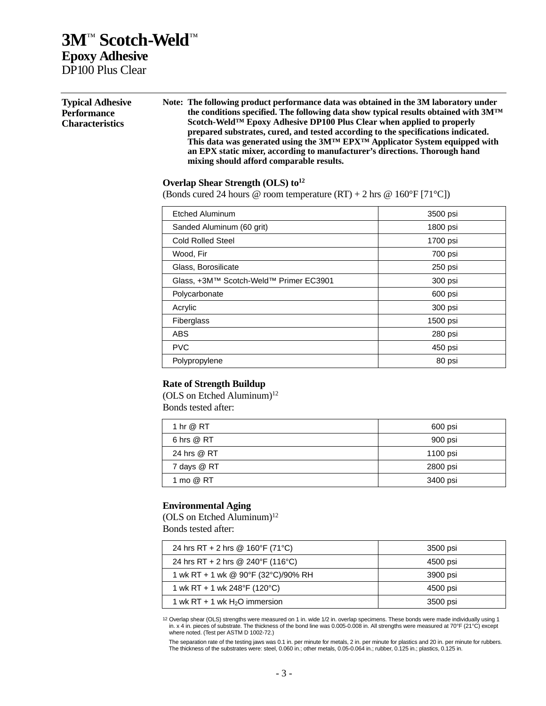# **3M**™ **Scotch-Weld**™ **Epoxy Adhesive** DP100 Plus Clear

| <b>Typical Adhesive</b><br><b>Performance</b><br><b>Characteristics</b> | Note: The following product performance data was obtained in the 3M laboratory under<br>the conditions specified. The following data show typical results obtained with $3M^{TM}$<br>Scotch-Weld <sup>TM</sup> Epoxy Adhesive DP100 Plus Clear when applied to properly<br>prepared substrates, cured, and tested according to the specifications indicated.<br>This data was generated using the $3M^{TM} EPX^{TM}$ Applicator System equipped with<br>an EPX static mixer, according to manufacturer's directions. Thorough hand<br>mixing should afford comparable results.<br>Overlap Shear Strength (OLS) $to12$<br>(Bonds cured 24 hours @ room temperature $(RT) + 2$ hrs @ 160°F [71°C]) |                  |  |
|-------------------------------------------------------------------------|--------------------------------------------------------------------------------------------------------------------------------------------------------------------------------------------------------------------------------------------------------------------------------------------------------------------------------------------------------------------------------------------------------------------------------------------------------------------------------------------------------------------------------------------------------------------------------------------------------------------------------------------------------------------------------------------------|------------------|--|
|                                                                         | <b>Etched Aluminum</b>                                                                                                                                                                                                                                                                                                                                                                                                                                                                                                                                                                                                                                                                           | 3500 psi         |  |
|                                                                         | Sanded Aluminum (60 grit)                                                                                                                                                                                                                                                                                                                                                                                                                                                                                                                                                                                                                                                                        | 1800 psi         |  |
|                                                                         | <b>Cold Rolled Steel</b>                                                                                                                                                                                                                                                                                                                                                                                                                                                                                                                                                                                                                                                                         | 1700 psi         |  |
|                                                                         | Wood, Fir                                                                                                                                                                                                                                                                                                                                                                                                                                                                                                                                                                                                                                                                                        | 700 psi          |  |
|                                                                         | Glass, Borosilicate                                                                                                                                                                                                                                                                                                                                                                                                                                                                                                                                                                                                                                                                              | 250 psi          |  |
|                                                                         | Glass, +3M™ Scotch-Weld™ Primer EC3901                                                                                                                                                                                                                                                                                                                                                                                                                                                                                                                                                                                                                                                           | 300 psi          |  |
|                                                                         | Dolugarhonato                                                                                                                                                                                                                                                                                                                                                                                                                                                                                                                                                                                                                                                                                    | $0.00 \text{ m}$ |  |

| Etched Aluminum                        | 3500 psi |
|----------------------------------------|----------|
| Sanded Aluminum (60 grit)              | 1800 psi |
| <b>Cold Rolled Steel</b>               | 1700 psi |
| Wood, Fir                              | 700 psi  |
| Glass, Borosilicate                    | 250 psi  |
| Glass, +3M™ Scotch-Weld™ Primer EC3901 | 300 psi  |
| Polycarbonate                          | 600 psi  |
| Acrylic                                | 300 psi  |
| <b>Fiberglass</b>                      | 1500 psi |
| <b>ABS</b>                             | 280 psi  |
| <b>PVC</b>                             | 450 psi  |
| Polypropylene                          | 80 psi   |

## **Rate of Strength Buildup**

(OLS on Etched Aluminum)12 Bonds tested after:

| 1 hr @ RT   | 600 psi  |
|-------------|----------|
| 6 hrs @ RT  | 900 psi  |
| 24 hrs @ RT | 1100 psi |
| 7 days @ RT | 2800 psi |
| 1 mo @ RT   | 3400 psi |

## **Environmental Aging**

(OLS on Etched Aluminum) $12$ Bonds tested after:

| 24 hrs RT + 2 hrs @ 160°F (71°C)    | 3500 psi |
|-------------------------------------|----------|
| 24 hrs RT + 2 hrs @ 240°F (116°C)   | 4500 psi |
| 1 wk RT + 1 wk @ 90°F (32°C)/90% RH | 3900 psi |
| 1 wk RT + 1 wk 248°F (120°C)        | 4500 psi |
| 1 wk RT + 1 wk $H_2O$ immersion     | 3500 psi |

12 Overlap shear (OLS) strengths were measured on 1 in. wide 1/2 in. overlap specimens. These bonds were made individually using 1 in. x 4 in. pieces of substrate. The thickness of the bond line was 0.005-0.008 in. All strengths were measured at 70°F (21°C) except where noted. (Test per ASTM D 1002-72.)

The separation rate of the testing jaws was 0.1 in. per minute for metals, 2 in. per minute for plastics and 20 in. per minute for rubbers.<br>The thickness of the substrates were: steel, 0.060 in.; other metals, 0.05-0.064 i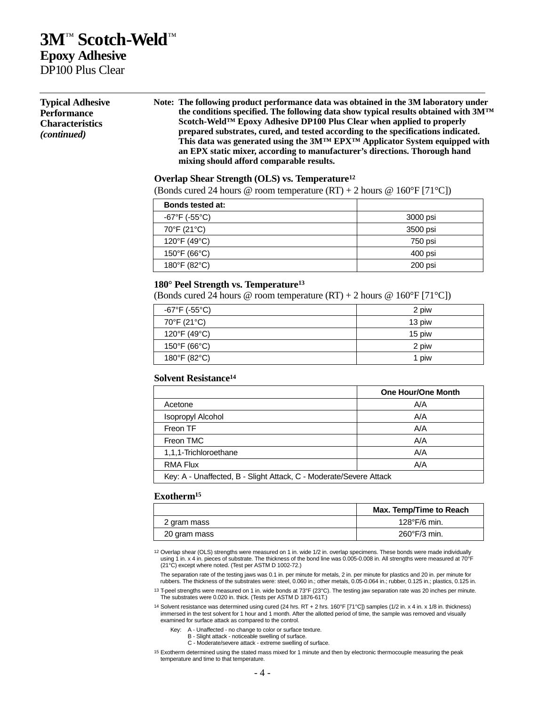# **3M**™ **Scotch-Weld**™ **Epoxy Adhesive**

DP100 Plus Clear

| <b>Typical Adhesive</b><br><b>Performance</b><br><b>Characteristics</b><br><i>(continued)</i> | Note: The following product performance data was obtained in the 3M laboratory under<br>the conditions specified. The following data show typical results obtained with $3M^{TM}$<br>Scotch-Weld <sup>TM</sup> Epoxy Adhesive DP100 Plus Clear when applied to properly<br>prepared substrates, cured, and tested according to the specifications indicated.<br>This data was generated using the $3M^{TM} EPX^{TM}$ Applicator System equipped with |
|-----------------------------------------------------------------------------------------------|------------------------------------------------------------------------------------------------------------------------------------------------------------------------------------------------------------------------------------------------------------------------------------------------------------------------------------------------------------------------------------------------------------------------------------------------------|
|                                                                                               | an EPX static mixer, according to manufacturer's directions. Thorough hand<br>mixing should afford comparable results.                                                                                                                                                                                                                                                                                                                               |

### **Overlap Shear Strength (OLS) vs. Temperature12**

(Bonds cured 24 hours @ room temperature  $(RT) + 2$  hours @ 160°F [71°C])

| <b>Bonds tested at:</b> |          |
|-------------------------|----------|
| -67°F (-55°C)           | 3000 psi |
| 70°F (21°C)             | 3500 psi |
| 120°F (49°C)            | 750 psi  |
| 150°F (66°C)            | 400 psi  |
| 180°F (82°C)            | 200 psi  |

### **180° Peel Strength vs. Temperature13**

(Bonds cured 24 hours @ room temperature  $(RT) + 2$  hours @ 160°F [71°C])

| -67°F (-55°C) | 2 piw  |
|---------------|--------|
| 70°F (21°C)   | 13 piw |
| 120°F (49°C)  | 15 piw |
| 150°F (66°C)  | 2 piw  |
| 180°F (82°C)  | 1 piw  |

#### **Solvent Resistance14**

|                                                                    | <b>One Hour/One Month</b> |  |
|--------------------------------------------------------------------|---------------------------|--|
| Acetone                                                            | A/A                       |  |
| <b>Isopropyl Alcohol</b>                                           | A/A                       |  |
| Freon TF                                                           | A/A                       |  |
| Freon TMC                                                          | A/A                       |  |
| 1,1,1-Trichloroethane                                              | A/A                       |  |
| <b>RMA Flux</b>                                                    | A/A                       |  |
| Key: A - Unaffected, B - Slight Attack, C - Moderate/Severe Attack |                           |  |

#### **Exotherm15**

|              | Max. Temp/Time to Reach |
|--------------|-------------------------|
| 2 gram mass  | $128^{\circ}$ F/6 min.  |
| 20 gram mass | $260^{\circ}$ F/3 min.  |

12 Overlap shear (OLS) strengths were measured on 1 in. wide 1/2 in. overlap specimens. These bonds were made individually using 1 in. x 4 in. pieces of substrate. The thickness of the bond line was 0.005-0.008 in. All strengths were measured at 70°F (21°C) except where noted. (Test per ASTM D 1002-72.)

The separation rate of the testing jaws was 0.1 in. per minute for metals, 2 in. per minute for plastics and 20 in. per minute for rubbers. The thickness of the substrates were: steel, 0.060 in.; other metals, 0.05-0.064 in.; rubber, 0.125 in.; plastics, 0.125 in. 13 T-peel strengths were measured on 1 in. wide bonds at 73°F (23°C). The testing jaw separation rate was 20 inches per minute.

The substrates were 0.020 in. thick. (Tests per ASTM D 1876-61T.)

14 Solvent resistance was determined using cured (24 hrs. RT + 2 hrs. 160°F [71°C]) samples (1/2 in. x 4 in. x 1/8 in. thickness) immersed in the test solvent for 1 hour and 1 month. After the allotted period of time, the sample was removed and visually examined for surface attack as compared to the control.

Key: A - Unaffected - no change to color or surface texture.

- B Slight attack noticeable swelling of surface.
- C Moderate/severe attack extreme swelling of surface.

15 Exotherm determined using the stated mass mixed for 1 minute and then by electronic thermocouple measuring the peak temperature and time to that temperature.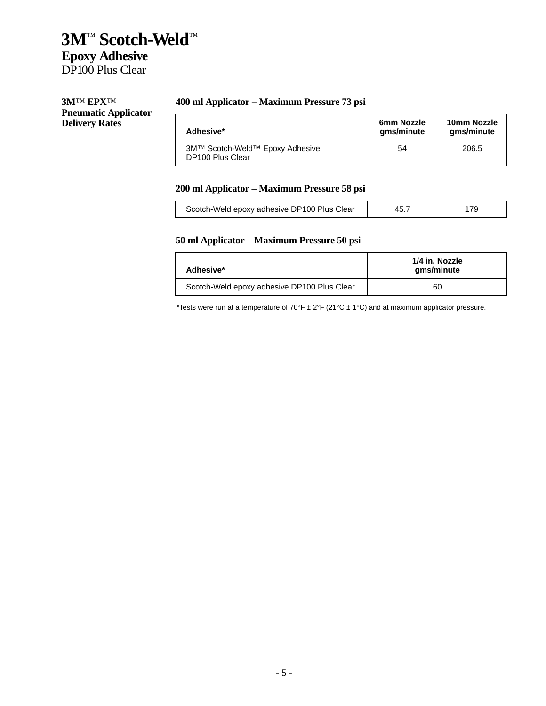| <b>3MTM EPXTM</b>           |  |
|-----------------------------|--|
| <b>Pneumatic Applicator</b> |  |
| <b>Delivery Rates</b>       |  |

## **400 ml Applicator – Maximum Pressure 73 psi**

| Pheumatic Applicator  | Adhesive*                                           | 6mm Nozzle | 10mm Nozzle |
|-----------------------|-----------------------------------------------------|------------|-------------|
| <b>Delivery Rates</b> |                                                     | gms/minute | qms/minute  |
|                       | 3M™ Scotch-Weld™ Epoxy Adhesive<br>DP100 Plus Clear | 54         | 206.5       |

## **200 ml Applicator – Maximum Pressure 58 psi**

| Scotch-Weld epoxy adhesive DP100 Plus Clear | 45. |  |
|---------------------------------------------|-----|--|
|---------------------------------------------|-----|--|

## **50 ml Applicator – Maximum Pressure 50 psi**

| Adhesive*                                   | 1/4 in. Nozzle<br>qms/minute |
|---------------------------------------------|------------------------------|
| Scotch-Weld epoxy adhesive DP100 Plus Clear | 60                           |

**\***Tests were run at a temperature of 70°F ± 2°F (21°C ± 1°C) and at maximum applicator pressure.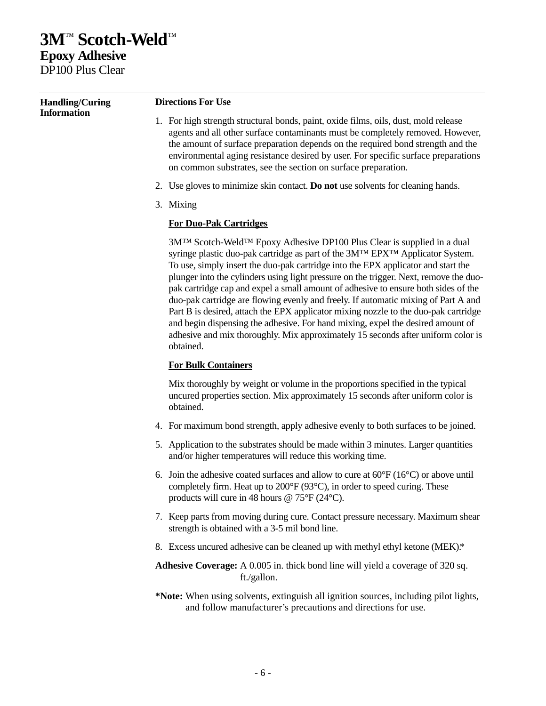# **3M**™ **Scotch-Weld**™ **Epoxy Adhesive** DP100 Plus Clear

| <b>Handling/Curing</b> | <b>Directions For Use</b>                                                                                                                                                                                                                                                                                                                                                                                                                                                                                                                                                                                                                                                                                                                                                                       |  |  |
|------------------------|-------------------------------------------------------------------------------------------------------------------------------------------------------------------------------------------------------------------------------------------------------------------------------------------------------------------------------------------------------------------------------------------------------------------------------------------------------------------------------------------------------------------------------------------------------------------------------------------------------------------------------------------------------------------------------------------------------------------------------------------------------------------------------------------------|--|--|
| <b>Information</b>     | 1. For high strength structural bonds, paint, oxide films, oils, dust, mold release<br>agents and all other surface contaminants must be completely removed. However,<br>the amount of surface preparation depends on the required bond strength and the<br>environmental aging resistance desired by user. For specific surface preparations<br>on common substrates, see the section on surface preparation.                                                                                                                                                                                                                                                                                                                                                                                  |  |  |
|                        | 2. Use gloves to minimize skin contact. Do not use solvents for cleaning hands.                                                                                                                                                                                                                                                                                                                                                                                                                                                                                                                                                                                                                                                                                                                 |  |  |
|                        | 3. Mixing                                                                                                                                                                                                                                                                                                                                                                                                                                                                                                                                                                                                                                                                                                                                                                                       |  |  |
|                        | <b>For Duo-Pak Cartridges</b>                                                                                                                                                                                                                                                                                                                                                                                                                                                                                                                                                                                                                                                                                                                                                                   |  |  |
|                        | 3MTM Scotch-WeldTM Epoxy Adhesive DP100 Plus Clear is supplied in a dual<br>syringe plastic duo-pak cartridge as part of the 3MTM EPXTM Applicator System.<br>To use, simply insert the duo-pak cartridge into the EPX applicator and start the<br>plunger into the cylinders using light pressure on the trigger. Next, remove the duo-<br>pak cartridge cap and expel a small amount of adhesive to ensure both sides of the<br>duo-pak cartridge are flowing evenly and freely. If automatic mixing of Part A and<br>Part B is desired, attach the EPX applicator mixing nozzle to the duo-pak cartridge<br>and begin dispensing the adhesive. For hand mixing, expel the desired amount of<br>adhesive and mix thoroughly. Mix approximately 15 seconds after uniform color is<br>obtained. |  |  |
|                        | <b>For Bulk Containers</b>                                                                                                                                                                                                                                                                                                                                                                                                                                                                                                                                                                                                                                                                                                                                                                      |  |  |
|                        | Mix thoroughly by weight or volume in the proportions specified in the typical<br>uncured properties section. Mix approximately 15 seconds after uniform color is<br>obtained.                                                                                                                                                                                                                                                                                                                                                                                                                                                                                                                                                                                                                  |  |  |
|                        | 4. For maximum bond strength, apply adhesive evenly to both surfaces to be joined.                                                                                                                                                                                                                                                                                                                                                                                                                                                                                                                                                                                                                                                                                                              |  |  |
|                        | 5. Application to the substrates should be made within 3 minutes. Larger quantities<br>and/or higher temperatures will reduce this working time.                                                                                                                                                                                                                                                                                                                                                                                                                                                                                                                                                                                                                                                |  |  |
|                        | 6. Join the adhesive coated surfaces and allow to cure at $60^{\circ}F(16^{\circ}C)$ or above until<br>completely firm. Heat up to 200°F (93°C), in order to speed curing. These<br>products will cure in 48 hours $@ 75^{\circ}F (24^{\circ}C)$ .                                                                                                                                                                                                                                                                                                                                                                                                                                                                                                                                              |  |  |
|                        | 7. Keep parts from moving during cure. Contact pressure necessary. Maximum shear<br>strength is obtained with a 3-5 mil bond line.                                                                                                                                                                                                                                                                                                                                                                                                                                                                                                                                                                                                                                                              |  |  |

8. Excess uncured adhesive can be cleaned up with methyl ethyl ketone (MEK).\*

**Adhesive Coverage:** A 0.005 in. thick bond line will yield a coverage of 320 sq. ft./gallon.

**\*Note:** When using solvents, extinguish all ignition sources, including pilot lights, and follow manufacturer's precautions and directions for use.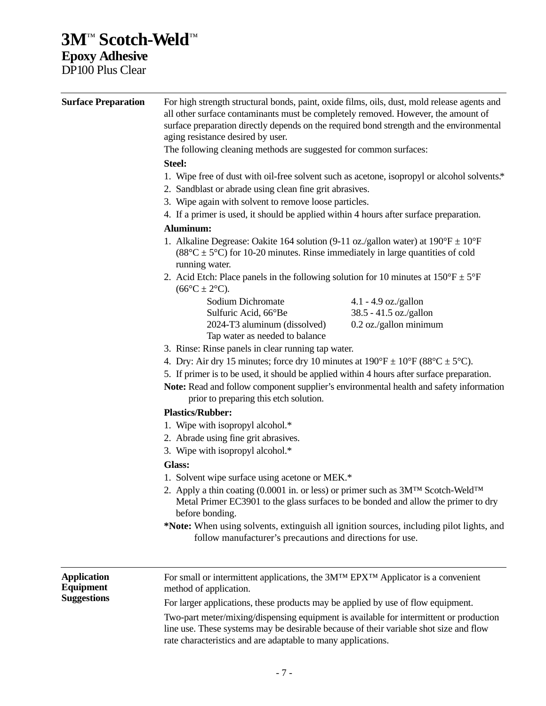# **3M**™ **Scotch-Weld**™

**Epoxy Adhesive** DP100 Plus Clear

| <b>Surface Preparation</b>             | For high strength structural bonds, paint, oxide films, oils, dust, mold release agents and<br>all other surface contaminants must be completely removed. However, the amount of<br>surface preparation directly depends on the required bond strength and the environmental<br>aging resistance desired by user.                                                                                         |                        |  |
|----------------------------------------|-----------------------------------------------------------------------------------------------------------------------------------------------------------------------------------------------------------------------------------------------------------------------------------------------------------------------------------------------------------------------------------------------------------|------------------------|--|
|                                        | The following cleaning methods are suggested for common surfaces:                                                                                                                                                                                                                                                                                                                                         |                        |  |
|                                        | Steel:<br>1. Wipe free of dust with oil-free solvent such as acetone, isopropyl or alcohol solvents.*<br>2. Sandblast or abrade using clean fine grit abrasives.<br>3. Wipe again with solvent to remove loose particles.<br>4. If a primer is used, it should be applied within 4 hours after surface preparation.                                                                                       |                        |  |
|                                        |                                                                                                                                                                                                                                                                                                                                                                                                           |                        |  |
|                                        |                                                                                                                                                                                                                                                                                                                                                                                                           |                        |  |
|                                        |                                                                                                                                                                                                                                                                                                                                                                                                           |                        |  |
|                                        | Aluminum:                                                                                                                                                                                                                                                                                                                                                                                                 |                        |  |
|                                        | 1. Alkaline Degrease: Oakite 164 solution (9-11 oz./gallon water) at $190^{\circ}F \pm 10^{\circ}F$<br>$(88^{\circ}C \pm 5^{\circ}C)$ for 10-20 minutes. Rinse immediately in large quantities of cold<br>running water.<br>2. Acid Etch: Place panels in the following solution for 10 minutes at $150^{\circ}F \pm 5^{\circ}F$<br>$(66^{\circ}C \pm 2^{\circ}C).$                                       |                        |  |
|                                        |                                                                                                                                                                                                                                                                                                                                                                                                           |                        |  |
|                                        | Sodium Dichromate                                                                                                                                                                                                                                                                                                                                                                                         | $4.1 - 4.9$ oz./gallon |  |
|                                        | Sulfuric Acid, 66°Be                                                                                                                                                                                                                                                                                                                                                                                      | 38.5 - 41.5 oz./gallon |  |
|                                        | 2024-T3 aluminum (dissolved)                                                                                                                                                                                                                                                                                                                                                                              | 0.2 oz./gallon minimum |  |
|                                        | Tap water as needed to balance                                                                                                                                                                                                                                                                                                                                                                            |                        |  |
|                                        | 3. Rinse: Rinse panels in clear running tap water.<br>4. Dry: Air dry 15 minutes; force dry 10 minutes at $190^{\circ}F \pm 10^{\circ}F (88^{\circ}C \pm 5^{\circ}C)$ .<br>5. If primer is to be used, it should be applied within 4 hours after surface preparation.<br>Note: Read and follow component supplier's environmental health and safety information<br>prior to preparing this etch solution. |                        |  |
|                                        |                                                                                                                                                                                                                                                                                                                                                                                                           |                        |  |
|                                        |                                                                                                                                                                                                                                                                                                                                                                                                           |                        |  |
|                                        | <b>Plastics/Rubber:</b>                                                                                                                                                                                                                                                                                                                                                                                   |                        |  |
|                                        | 1. Wipe with isopropyl alcohol.*                                                                                                                                                                                                                                                                                                                                                                          |                        |  |
|                                        | 2. Abrade using fine grit abrasives.                                                                                                                                                                                                                                                                                                                                                                      |                        |  |
|                                        | 3. Wipe with isopropyl alcohol.*                                                                                                                                                                                                                                                                                                                                                                          |                        |  |
|                                        | Glass:                                                                                                                                                                                                                                                                                                                                                                                                    |                        |  |
|                                        | 1. Solvent wipe surface using acetone or MEK.*                                                                                                                                                                                                                                                                                                                                                            |                        |  |
|                                        | 2. Apply a thin coating (0.0001 in. or less) or primer such as $3M^{TM}$ Scotch-Weld <sup>TM</sup><br>Metal Primer EC3901 to the glass surfaces to be bonded and allow the primer to dry<br>before bonding.                                                                                                                                                                                               |                        |  |
|                                        | *Note: When using solvents, extinguish all ignition sources, including pilot lights, and<br>follow manufacturer's precautions and directions for use.                                                                                                                                                                                                                                                     |                        |  |
|                                        |                                                                                                                                                                                                                                                                                                                                                                                                           |                        |  |
| <b>Application</b><br><b>Equipment</b> | For small or intermittent applications, the 3M™ EPX™ Applicator is a convenient<br>method of application.                                                                                                                                                                                                                                                                                                 |                        |  |
| <b>Suggestions</b>                     | For larger applications, these products may be applied by use of flow equipment.                                                                                                                                                                                                                                                                                                                          |                        |  |
|                                        | Two-part meter/mixing/dispensing equipment is available for intermittent or production<br>line use. These systems may be desirable because of their variable shot size and flow<br>rate characteristics and are adaptable to many applications.                                                                                                                                                           |                        |  |